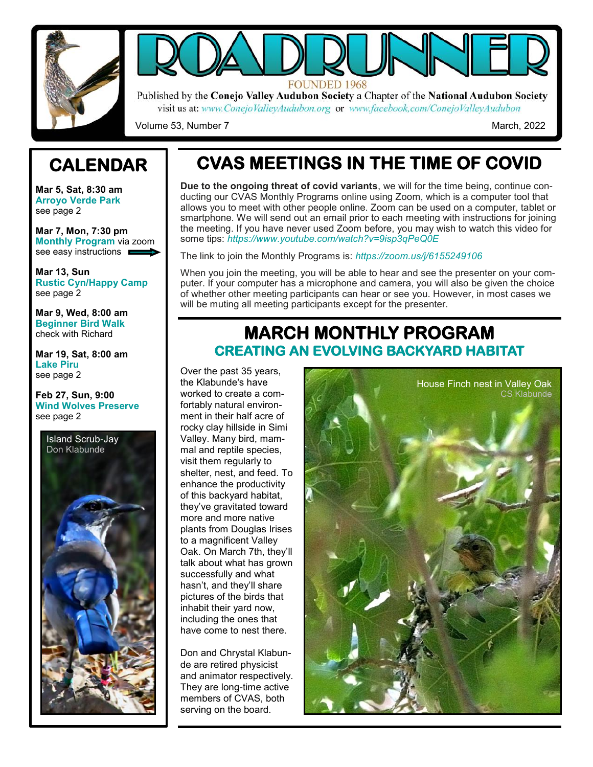



Published by the Conejo Valley Audubon Society a Chapter of the National Audubon Society visit us at: www.ConejoValleyAudubon.org or www.facebook.com/ConejoValleyAudubon

Volume 53, Number 7 March, 2022

## **CALENDAR**

**Mar 5, Sat, 8:30 am Arroyo Verde Park** see page 2

**Mar 7, Mon, 7:30 pm Monthly Program** via zoom see easy instructions **E** 

**Mar 13, Sun Rustic Cyn/Happy Camp** see page 2

**Mar 9, Wed, 8:00 am Beginner Bird Walk** check with Richard

**Mar 19, Sat, 8:00 am Lake Piru** see page 2

**Feb 27, Sun, 9:00 Wind Wolves Preserve** see page 2



# **CVAS MEETINGS IN THE TIME OF COVID**

**Due to the ongoing threat of covid variants**, we will for the time being, continue conducting our CVAS Monthly Programs online using Zoom, which is a computer tool that allows you to meet with other people online. Zoom can be used on a computer, tablet or smartphone. We will send out an email prior to each meeting with instructions for joining the meeting. If you have never used Zoom before, you may wish to watch this video for some tips: *https://www.youtube.com/watch?v=9isp3qPeQ0E* 

The link to join the Monthly Programs is: *https://zoom.us/j/6155249106* 

When you join the meeting, you will be able to hear and see the presenter on your computer. If your computer has a microphone and camera, you will also be given the choice of whether other meeting participants can hear or see you. However, in most cases we will be muting all meeting participants except for the presenter.

### **MARCH MONTHLY PROGRAM CREATING AN EVOLVING BACKYARD HABITAT**

Over the past 35 years, the Klabunde's have worked to create a comfortably natural environment in their half acre of rocky clay hillside in Simi Valley. Many bird, mammal and reptile species, visit them regularly to shelter, nest, and feed. To enhance the productivity of this backyard habitat, they've gravitated toward more and more native plants from Douglas Irises to a magnificent Valley Oak. On March 7th, they'll talk about what has grown successfully and what hasn't, and they'll share pictures of the birds that inhabit their yard now, including the ones that have come to nest there.

Don and Chrystal Klabunde are retired physicist and animator respectively. They are long-time active members of CVAS, both serving on the board.

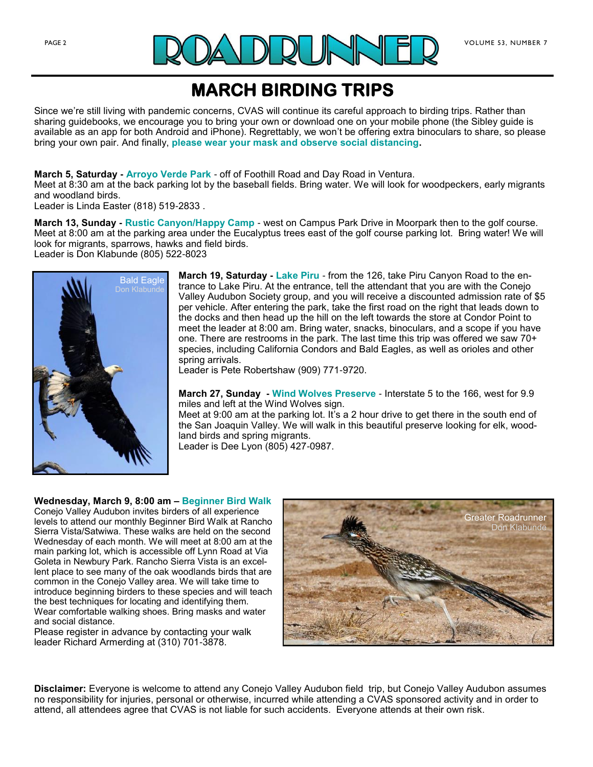

### **MARCH BIRDING TRIPS**

Since we're still living with pandemic concerns, CVAS will continue its careful approach to birding trips. Rather than sharing guidebooks, we encourage you to bring your own or download one on your mobile phone (the Sibley guide is available as an app for both Android and iPhone). Regrettably, we won't be offering extra binoculars to share, so please bring your own pair. And finally, **please wear your mask and observe social distancing.**

**March 5, Saturday - Arroyo Verde Park** - off of Foothill Road and Day Road in Ventura.

Meet at 8:30 am at the back parking lot by the baseball fields. Bring water. We will look for woodpeckers, early migrants and woodland birds.

Leader is Linda Easter (818) 519-2833 .

**March 13, Sunday - Rustic Canyon/Happy Camp** - west on Campus Park Drive in Moorpark then to the golf course. Meet at 8:00 am at the parking area under the Eucalyptus trees east of the golf course parking lot. Bring water! We will look for migrants, sparrows, hawks and field birds.

Leader is Don Klabunde (805) 522-8023



**March 19, Saturday - Lake Piru** - from the 126, take Piru Canyon Road to the entrance to Lake Piru. At the entrance, tell the attendant that you are with the Conejo Valley Audubon Society group, and you will receive a discounted admission rate of \$5 per vehicle. After entering the park, take the first road on the right that leads down to the docks and then head up the hill on the left towards the store at Condor Point to meet the leader at 8:00 am. Bring water, snacks, binoculars, and a scope if you have one. There are restrooms in the park. The last time this trip was offered we saw 70+ species, including California Condors and Bald Eagles, as well as orioles and other spring arrivals.

Leader is Pete Robertshaw (909) 771-9720.

**March 27, Sunday - Wind Wolves Preserve** - Interstate 5 to the 166, west for 9.9 miles and left at the Wind Wolves sign.

Meet at 9:00 am at the parking lot. It's a 2 hour drive to get there in the south end of the San Joaquin Valley. We will walk in this beautiful preserve looking for elk, woodland birds and spring migrants.

Leader is Dee Lyon (805) 427-0987.

#### **Wednesday, March 9, 8:00 am – Beginner Bird Walk**

Conejo Valley Audubon invites birders of all experience levels to attend our monthly Beginner Bird Walk at Rancho Sierra Vista/Satwiwa. These walks are held on the second Wednesday of each month. We will meet at 8:00 am at the main parking lot, which is accessible off Lynn Road at Via Goleta in Newbury Park. Rancho Sierra Vista is an excellent place to see many of the oak woodlands birds that are common in the Conejo Valley area. We will take time to introduce beginning birders to these species and will teach the best techniques for locating and identifying them. Wear comfortable walking shoes. Bring masks and water and social distance.

Please register in advance by contacting your walk leader Richard Armerding at (310) 701-3878.



**Disclaimer:** Everyone is welcome to attend any Conejo Valley Audubon field trip, but Conejo Valley Audubon assumes no responsibility for injuries, personal or otherwise, incurred while attending a CVAS sponsored activity and in order to attend, all attendees agree that CVAS is not liable for such accidents. Everyone attends at their own risk.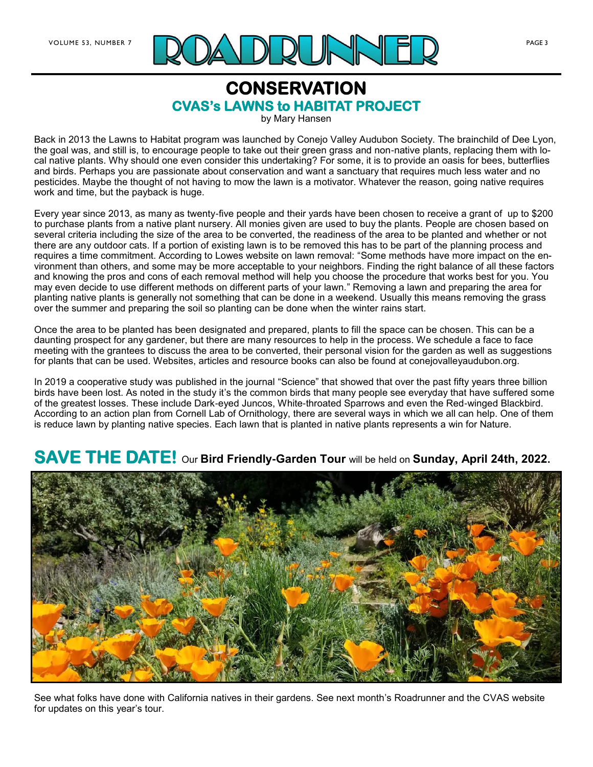

### **CONSERVATION CVAS's LAWNS to HABITAT PROJECT**

by Mary Hansen

Back in 2013 the Lawns to Habitat program was launched by Conejo Valley Audubon Society. The brainchild of Dee Lyon, the goal was, and still is, to encourage people to take out their green grass and non-native plants, replacing them with local native plants. Why should one even consider this undertaking? For some, it is to provide an oasis for bees, butterflies and birds. Perhaps you are passionate about conservation and want a sanctuary that requires much less water and no pesticides. Maybe the thought of not having to mow the lawn is a motivator. Whatever the reason, going native requires work and time, but the payback is huge.

Every year since 2013, as many as twenty-five people and their yards have been chosen to receive a grant of up to \$200 to purchase plants from a native plant nursery. All monies given are used to buy the plants. People are chosen based on several criteria including the size of the area to be converted, the readiness of the area to be planted and whether or not there are any outdoor cats. If a portion of existing lawn is to be removed this has to be part of the planning process and requires a time commitment. According to Lowes website on lawn removal: "Some methods have more impact on the environment than others, and some may be more acceptable to your neighbors. Finding the right balance of all these factors and knowing the pros and cons of each removal method will help you choose the procedure that works best for you. You may even decide to use different methods on different parts of your lawn." Removing a lawn and preparing the area for planting native plants is generally not something that can be done in a weekend. Usually this means removing the grass over the summer and preparing the soil so planting can be done when the winter rains start.

Once the area to be planted has been designated and prepared, plants to fill the space can be chosen. This can be a daunting prospect for any gardener, but there are many resources to help in the process. We schedule a face to face meeting with the grantees to discuss the area to be converted, their personal vision for the garden as well as suggestions for plants that can be used. Websites, articles and resource books can also be found at conejovalleyaudubon.org.

In 2019 a cooperative study was published in the journal "Science" that showed that over the past fifty years three billion birds have been lost. As noted in the study it's the common birds that many people see everyday that have suffered some of the greatest losses. These include Dark-eyed Juncos, White-throated Sparrows and even the Red-winged Blackbird. According to an action plan from Cornell Lab of Ornithology, there are several ways in which we all can help. One of them is reduce lawn by planting native species. Each lawn that is planted in native plants represents a win for Nature.

## **SAVE THE DATE!** Our **Bird Friendly-Garden Tour** will be held on **Sunday, April 24th, 2022.**



See what folks have done with California natives in their gardens. See next month's Roadrunner and the CVAS website for updates on this year's tour.